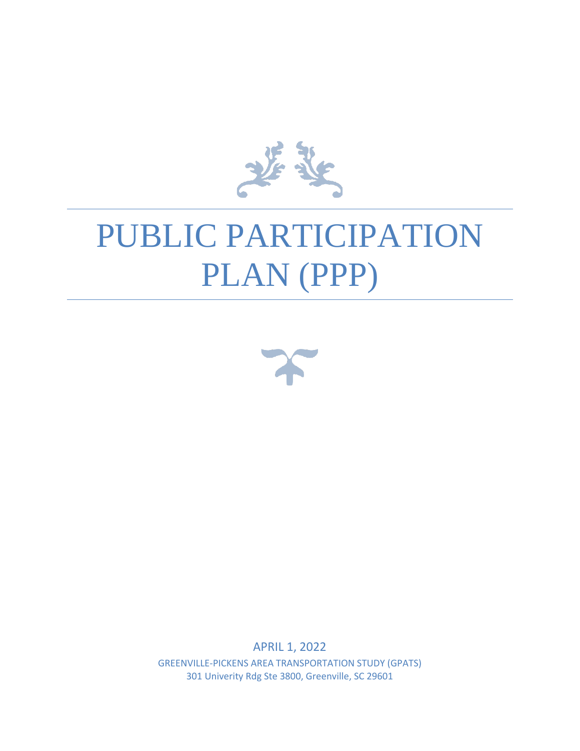

# PUBLIC PARTICIPATION PLAN (PPP)



APRIL 1, 2022 GREENVILLE-PICKENS AREA TRANSPORTATION STUDY (GPATS) 301 Univerity Rdg Ste 3800, Greenville, SC 29601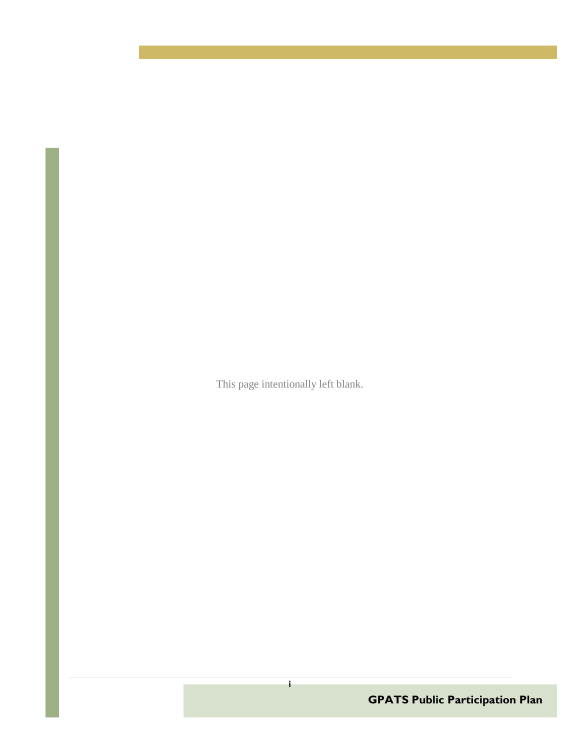This page intentionally left blank.

**i**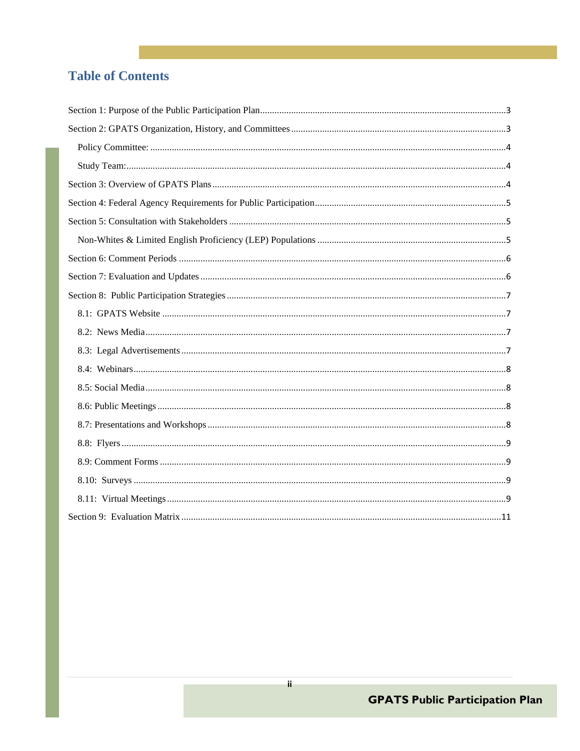# **Table of Contents**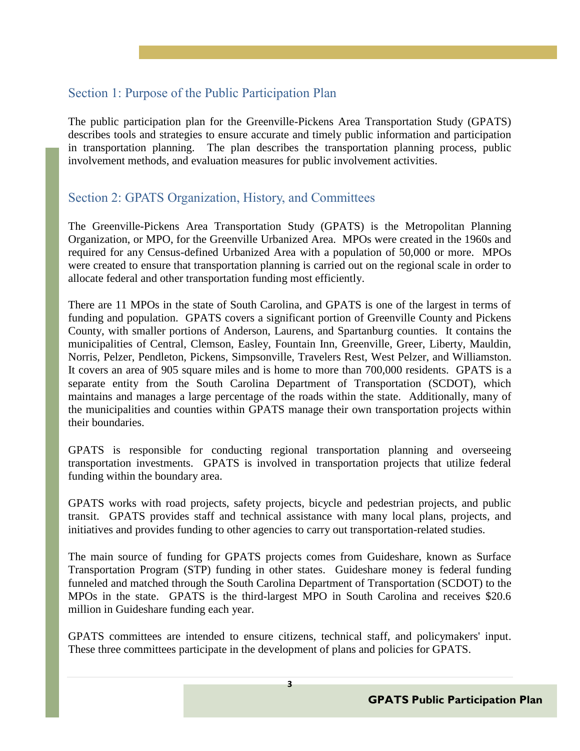# <span id="page-3-0"></span>Section 1: Purpose of the Public Participation Plan

The public participation plan for the Greenville-Pickens Area Transportation Study (GPATS) describes tools and strategies to ensure accurate and timely public information and participation in transportation planning. The plan describes the transportation planning process, public involvement methods, and evaluation measures for public involvement activities.

# <span id="page-3-1"></span>Section 2: GPATS Organization, History, and Committees

The Greenville-Pickens Area Transportation Study (GPATS) is the Metropolitan Planning Organization, or MPO, for the Greenville Urbanized Area. MPOs were created in the 1960s and required for any Census-defined Urbanized Area with a population of 50,000 or more. MPOs were created to ensure that transportation planning is carried out on the regional scale in order to allocate federal and other transportation funding most efficiently.

There are 11 MPOs in the state of South Carolina, and GPATS is one of the largest in terms of funding and population. GPATS covers a significant portion of Greenville County and Pickens County, with smaller portions of Anderson, Laurens, and Spartanburg counties. It contains the municipalities of Central, Clemson, Easley, Fountain Inn, Greenville, Greer, Liberty, Mauldin, Norris, Pelzer, Pendleton, Pickens, Simpsonville, Travelers Rest, West Pelzer, and Williamston. It covers an area of 905 square miles and is home to more than 700,000 residents. GPATS is a separate entity from the South Carolina Department of Transportation (SCDOT), which maintains and manages a large percentage of the roads within the state. Additionally, many of the municipalities and counties within GPATS manage their own transportation projects within their boundaries.

GPATS is responsible for conducting regional transportation planning and overseeing transportation investments. GPATS is involved in transportation projects that utilize federal funding within the boundary area.

GPATS works with road projects, safety projects, bicycle and pedestrian projects, and public transit. GPATS provides staff and technical assistance with many local plans, projects, and initiatives and provides funding to other agencies to carry out transportation-related studies.

The main source of funding for GPATS projects comes from Guideshare, known as Surface Transportation Program (STP) funding in other states. Guideshare money is federal funding funneled and matched through the South Carolina Department of Transportation (SCDOT) to the MPOs in the state. GPATS is the third-largest MPO in South Carolina and receives \$20.6 million in Guideshare funding each year.

GPATS committees are intended to ensure citizens, technical staff, and policymakers' input. These three committees participate in the development of plans and policies for GPATS.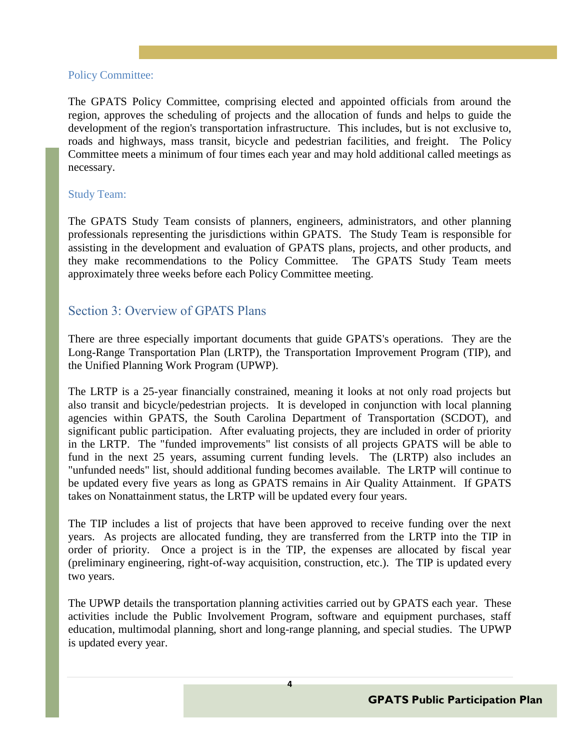#### <span id="page-4-0"></span>Policy Committee:

The GPATS Policy Committee, comprising elected and appointed officials from around the region, approves the scheduling of projects and the allocation of funds and helps to guide the development of the region's transportation infrastructure. This includes, but is not exclusive to, roads and highways, mass transit, bicycle and pedestrian facilities, and freight. The Policy Committee meets a minimum of four times each year and may hold additional called meetings as necessary.

#### <span id="page-4-1"></span>Study Team:

The GPATS Study Team consists of planners, engineers, administrators, and other planning professionals representing the jurisdictions within GPATS. The Study Team is responsible for assisting in the development and evaluation of GPATS plans, projects, and other products, and they make recommendations to the Policy Committee. The GPATS Study Team meets approximately three weeks before each Policy Committee meeting.

# <span id="page-4-2"></span>Section 3: Overview of GPATS Plans

There are three especially important documents that guide GPATS's operations. They are the Long-Range Transportation Plan (LRTP), the Transportation Improvement Program (TIP), and the Unified Planning Work Program (UPWP).

The LRTP is a 25-year financially constrained, meaning it looks at not only road projects but also transit and bicycle/pedestrian projects. It is developed in conjunction with local planning agencies within GPATS, the South Carolina Department of Transportation (SCDOT), and significant public participation. After evaluating projects, they are included in order of priority in the LRTP. The "funded improvements" list consists of all projects GPATS will be able to fund in the next 25 years, assuming current funding levels. The (LRTP) also includes an "unfunded needs" list, should additional funding becomes available. The LRTP will continue to be updated every five years as long as GPATS remains in Air Quality Attainment. If GPATS takes on Nonattainment status, the LRTP will be updated every four years.

The TIP includes a list of projects that have been approved to receive funding over the next years. As projects are allocated funding, they are transferred from the LRTP into the TIP in order of priority. Once a project is in the TIP, the expenses are allocated by fiscal year (preliminary engineering, right-of-way acquisition, construction, etc.). The TIP is updated every two years.

The UPWP details the transportation planning activities carried out by GPATS each year. These activities include the Public Involvement Program, software and equipment purchases, staff education, multimodal planning, short and long-range planning, and special studies. The UPWP is updated every year.

**4**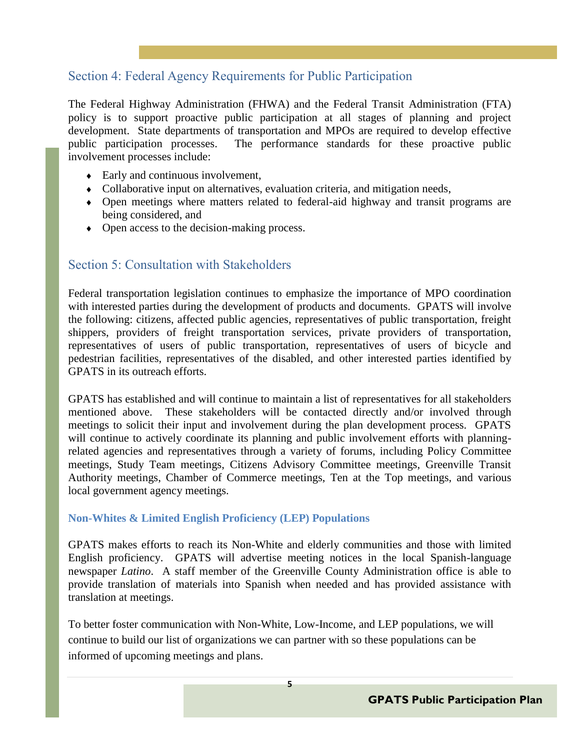# <span id="page-5-0"></span>Section 4: Federal Agency Requirements for Public Participation

The Federal Highway Administration (FHWA) and the Federal Transit Administration (FTA) policy is to support proactive public participation at all stages of planning and project development. State departments of transportation and MPOs are required to develop effective public participation processes. The performance standards for these proactive public involvement processes include:

- Early and continuous involvement,
- Collaborative input on alternatives, evaluation criteria, and mitigation needs,
- Open meetings where matters related to federal-aid highway and transit programs are being considered, and
- <span id="page-5-1"></span>• Open access to the decision-making process.

# Section 5: Consultation with Stakeholders

Federal transportation legislation continues to emphasize the importance of MPO coordination with interested parties during the development of products and documents. GPATS will involve the following: citizens, affected public agencies, representatives of public transportation, freight shippers, providers of freight transportation services, private providers of transportation, representatives of users of public transportation, representatives of users of bicycle and pedestrian facilities, representatives of the disabled, and other interested parties identified by GPATS in its outreach efforts.

GPATS has established and will continue to maintain a list of representatives for all stakeholders mentioned above. These stakeholders will be contacted directly and/or involved through meetings to solicit their input and involvement during the plan development process. GPATS will continue to actively coordinate its planning and public involvement efforts with planningrelated agencies and representatives through a variety of forums, including Policy Committee meetings, Study Team meetings, Citizens Advisory Committee meetings, Greenville Transit Authority meetings, Chamber of Commerce meetings, Ten at the Top meetings, and various local government agency meetings.

### <span id="page-5-2"></span>**Non-Whites & Limited English Proficiency (LEP) Populations**

GPATS makes efforts to reach its Non-White and elderly communities and those with limited English proficiency. GPATS will advertise meeting notices in the local Spanish-language newspaper *Latino*. A staff member of the Greenville County Administration office is able to provide translation of materials into Spanish when needed and has provided assistance with translation at meetings.

To better foster communication with Non-White, Low-Income, and LEP populations, we will continue to build our list of organizations we can partner with so these populations can be informed of upcoming meetings and plans.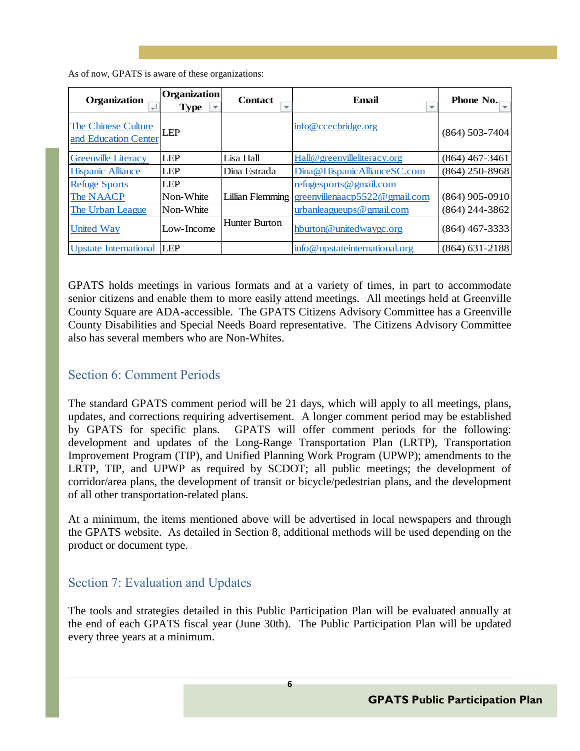As of now, GPATS is aware of these organizations:

| Organization<br>÷۱                          | Organization<br><b>Type</b> | <b>Contact</b><br>$\overline{\phantom{a}}$ | Email<br>$\overline{\phantom{a}}$              | Phone No.          |
|---------------------------------------------|-----------------------------|--------------------------------------------|------------------------------------------------|--------------------|
| The Chinese Culture<br>and Education Center | I EP                        |                                            | info@ccecbridge.org                            | $(864)$ 503-7404   |
| <b>Greenville Literacy</b>                  | <b>LEP</b>                  | Lisa Hall                                  | Hall@greenvilleliteracy.org                    | $(864)$ 467-3461   |
| <b>Hispanic Alliance</b>                    | LEP                         | Dina Estrada                               | Dina@HispanicAllianceSC.com                    | $(864)$ 250-8968   |
| <b>Refuge Sports</b>                        | LEP                         |                                            | refugesports@gmail.com                         |                    |
| The NAACP                                   | Non-White                   |                                            | Lillian Flemming greenvillenaacp5522@gmail.com | $(864)$ 905-0910   |
| The Urban League                            | Non-White                   |                                            | urbanleagueups@gmail.com                       | $(864)$ 244-3862   |
| United Way                                  | Low-Income                  | Hunter Burton                              | hburton@unitedwaygc.org                        | $(864)$ 467-3333   |
| <b>Upstate International</b>                | I EP                        |                                            | info@upstateinternational.org                  | $(864) 631 - 2188$ |

GPATS holds meetings in various formats and at a variety of times, in part to accommodate senior citizens and enable them to more easily attend meetings. All meetings held at Greenville County Square are ADA-accessible. The GPATS Citizens Advisory Committee has a Greenville County Disabilities and Special Needs Board representative. The Citizens Advisory Committee also has several members who are Non-Whites.

# <span id="page-6-0"></span>Section 6: Comment Periods

The standard GPATS comment period will be 21 days, which will apply to all meetings, plans, updates, and corrections requiring advertisement. A longer comment period may be established by GPATS for specific plans. GPATS will offer comment periods for the following: development and updates of the Long-Range Transportation Plan (LRTP), Transportation Improvement Program (TIP), and Unified Planning Work Program (UPWP); amendments to the LRTP, TIP, and UPWP as required by SCDOT; all public meetings; the development of corridor/area plans, the development of transit or bicycle/pedestrian plans, and the development of all other transportation-related plans.

At a minimum, the items mentioned above will be advertised in local newspapers and through the GPATS website. As detailed in Section 8, additional methods will be used depending on the product or document type.

# <span id="page-6-1"></span>Section 7: Evaluation and Updates

The tools and strategies detailed in this Public Participation Plan will be evaluated annually at the end of each GPATS fiscal year (June 30th). The Public Participation Plan will be updated every three years at a minimum.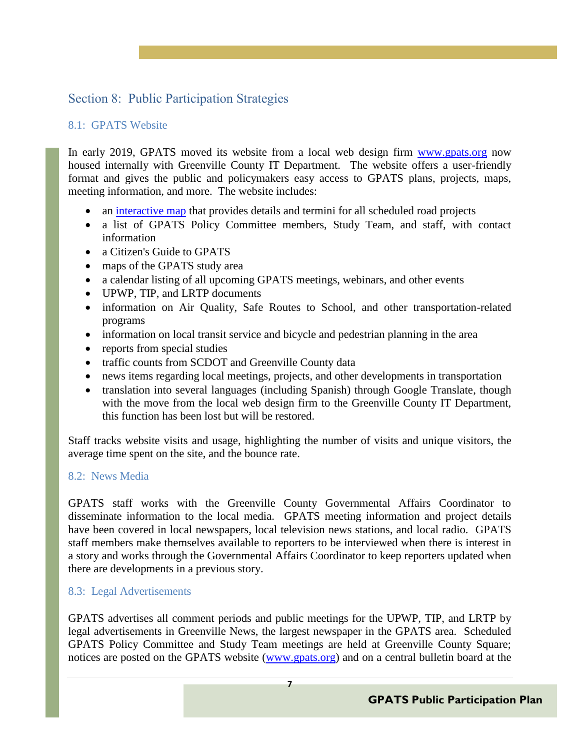# <span id="page-7-0"></span>Section 8: Public Participation Strategies

# <span id="page-7-1"></span>8.1: GPATS Website

In early 2019, GPATS moved its website from a local web design firm [www.gpats.org](http://www.gpats.org/) now housed internally with Greenville County IT Department. The website offers a user-friendly format and gives the public and policymakers easy access to GPATS plans, projects, maps, meeting information, and more. The website includes:

- an [interactive map](http://gpats.org/Programs/InteractiveMapping.aspx) that provides details and termini for all scheduled road projects
- a list of GPATS Policy Committee members, Study Team, and staff, with contact information
- a Citizen's Guide to GPATS
- maps of the GPATS study area
- a calendar listing of all upcoming GPATS meetings, webinars, and other events
- UPWP, TIP, and LRTP documents
- information on Air Quality, Safe Routes to School, and other transportation-related programs
- information on local transit service and bicycle and pedestrian planning in the area
- reports from special studies
- traffic counts from SCDOT and Greenville County data
- news items regarding local meetings, projects, and other developments in transportation
- translation into several languages (including Spanish) through Google Translate, though with the move from the local web design firm to the Greenville County IT Department, this function has been lost but will be restored.

Staff tracks website visits and usage, highlighting the number of visits and unique visitors, the average time spent on the site, and the bounce rate.

#### <span id="page-7-2"></span>8.2: News Media

GPATS staff works with the Greenville County Governmental Affairs Coordinator to disseminate information to the local media. GPATS meeting information and project details have been covered in local newspapers, local television news stations, and local radio. GPATS staff members make themselves available to reporters to be interviewed when there is interest in a story and works through the Governmental Affairs Coordinator to keep reporters updated when there are developments in a previous story.

### <span id="page-7-3"></span>8.3: Legal Advertisements

GPATS advertises all comment periods and public meetings for the UPWP, TIP, and LRTP by legal advertisements in Greenville News, the largest newspaper in the GPATS area. Scheduled GPATS Policy Committee and Study Team meetings are held at Greenville County Square; notices are posted on the GPATS website [\(www.gpats.org\)](http://www.gpats.org/) and on a central bulletin board at the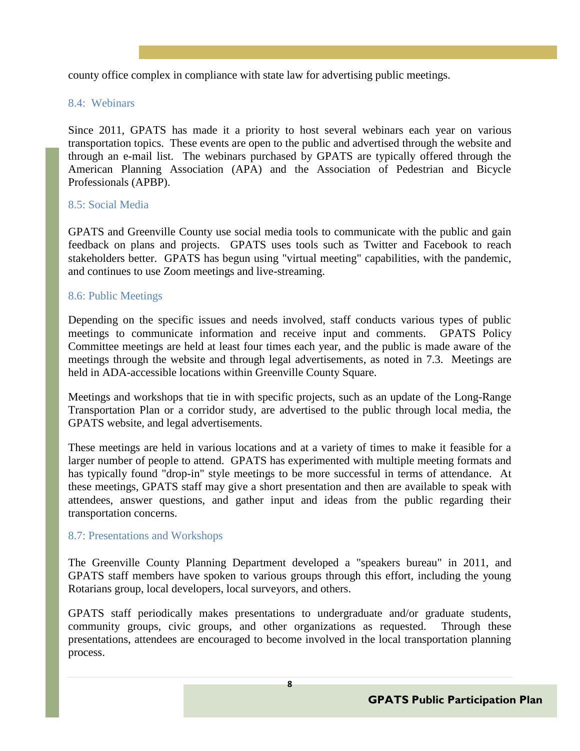county office complex in compliance with state law for advertising public meetings.

#### <span id="page-8-0"></span>8.4: Webinars

Since 2011, GPATS has made it a priority to host several webinars each year on various transportation topics. These events are open to the public and advertised through the website and through an e-mail list. The webinars purchased by GPATS are typically offered through the American Planning Association (APA) and the Association of Pedestrian and Bicycle Professionals (APBP).

### <span id="page-8-1"></span>8.5: Social Media

GPATS and Greenville County use social media tools to communicate with the public and gain feedback on plans and projects. GPATS uses tools such as Twitter and Facebook to reach stakeholders better. GPATS has begun using "virtual meeting" capabilities, with the pandemic, and continues to use Zoom meetings and live-streaming.

#### <span id="page-8-2"></span>8.6: Public Meetings

Depending on the specific issues and needs involved, staff conducts various types of public meetings to communicate information and receive input and comments. GPATS Policy Committee meetings are held at least four times each year, and the public is made aware of the meetings through the website and through legal advertisements, as noted in 7.3. Meetings are held in ADA-accessible locations within Greenville County Square.

Meetings and workshops that tie in with specific projects, such as an update of the Long-Range Transportation Plan or a corridor study, are advertised to the public through local media, the GPATS website, and legal advertisements.

These meetings are held in various locations and at a variety of times to make it feasible for a larger number of people to attend. GPATS has experimented with multiple meeting formats and has typically found "drop-in" style meetings to be more successful in terms of attendance. At these meetings, GPATS staff may give a short presentation and then are available to speak with attendees, answer questions, and gather input and ideas from the public regarding their transportation concerns.

### <span id="page-8-3"></span>8.7: Presentations and Workshops

The Greenville County Planning Department developed a "speakers bureau" in 2011, and GPATS staff members have spoken to various groups through this effort, including the young Rotarians group, local developers, local surveyors, and others.

GPATS staff periodically makes presentations to undergraduate and/or graduate students, community groups, civic groups, and other organizations as requested. Through these presentations, attendees are encouraged to become involved in the local transportation planning process.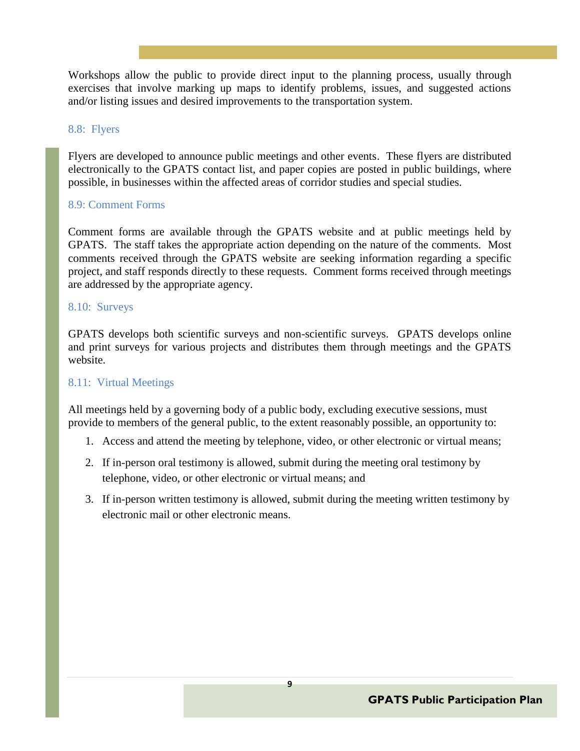Workshops allow the public to provide direct input to the planning process, usually through exercises that involve marking up maps to identify problems, issues, and suggested actions and/or listing issues and desired improvements to the transportation system.

## <span id="page-9-0"></span>8.8: Flyers

Flyers are developed to announce public meetings and other events. These flyers are distributed electronically to the GPATS contact list, and paper copies are posted in public buildings, where possible, in businesses within the affected areas of corridor studies and special studies.

## <span id="page-9-1"></span>8.9: Comment Forms

Comment forms are available through the GPATS website and at public meetings held by GPATS. The staff takes the appropriate action depending on the nature of the comments. Most comments received through the GPATS website are seeking information regarding a specific project, and staff responds directly to these requests. Comment forms received through meetings are addressed by the appropriate agency.

### <span id="page-9-2"></span>8.10: Surveys

GPATS develops both scientific surveys and non-scientific surveys. GPATS develops online and print surveys for various projects and distributes them through meetings and the GPATS website.

# <span id="page-9-3"></span>8.11: Virtual Meetings

All meetings held by a governing body of a public body, excluding executive sessions, must provide to members of the general public, to the extent reasonably possible, an opportunity to:

- 1. Access and attend the meeting by telephone, video, or other electronic or virtual means;
- 2. If in-person oral testimony is allowed, submit during the meeting oral testimony by telephone, video, or other electronic or virtual means; and
- 3. If in-person written testimony is allowed, submit during the meeting written testimony by electronic mail or other electronic means.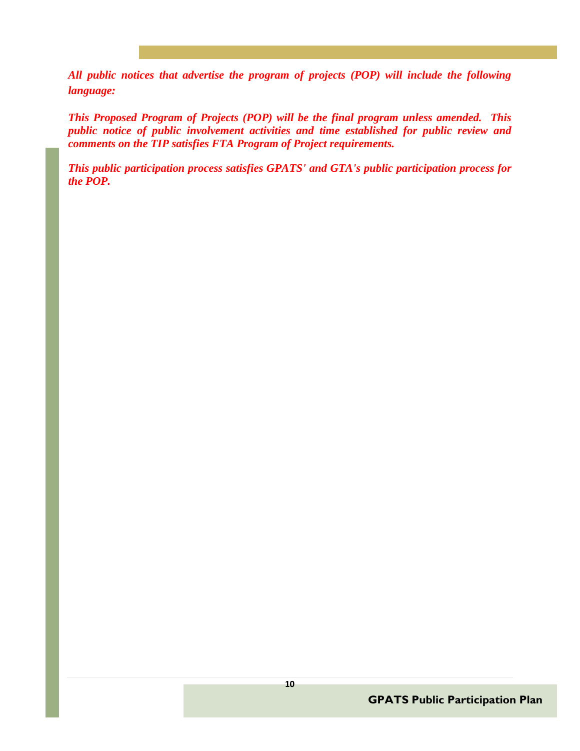*All public notices that advertise the program of projects (POP) will include the following language:*

*This Proposed Program of Projects (POP) will be the final program unless amended. This public notice of public involvement activities and time established for public review and comments on the TIP satisfies FTA Program of Project requirements.*

*This public participation process satisfies GPATS' and GTA's public participation process for the POP.*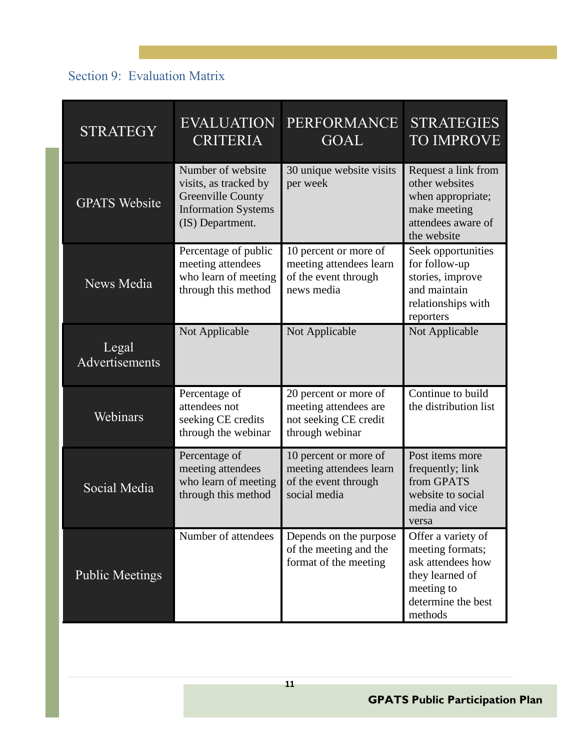# <span id="page-11-0"></span>Section 9: Evaluation Matrix

| <b>STRATEGY</b>         | <b>EVALUATION</b><br><b>CRITERIA</b>                                                                                     | <b>PERFORMANCE</b><br><b>GOAL</b>                                                          | <b>STRATEGIES</b><br><b>TO IMPROVE</b>                                                                                        |
|-------------------------|--------------------------------------------------------------------------------------------------------------------------|--------------------------------------------------------------------------------------------|-------------------------------------------------------------------------------------------------------------------------------|
| <b>GPATS Website</b>    | Number of website<br>visits, as tracked by<br><b>Greenville County</b><br><b>Information Systems</b><br>(IS) Department. | 30 unique website visits<br>per week                                                       | Request a link from<br>other websites<br>when appropriate;<br>make meeting<br>attendees aware of<br>the website               |
| News Media              | Percentage of public<br>meeting attendees<br>who learn of meeting<br>through this method                                 | 10 percent or more of<br>meeting attendees learn<br>of the event through<br>news media     | Seek opportunities<br>for follow-up<br>stories, improve<br>and maintain<br>relationships with<br>reporters                    |
| Legal<br>Advertisements | Not Applicable                                                                                                           | Not Applicable                                                                             | Not Applicable                                                                                                                |
| Webinars                | Percentage of<br>attendees not<br>seeking CE credits<br>through the webinar                                              | 20 percent or more of<br>meeting attendees are<br>not seeking CE credit<br>through webinar | Continue to build<br>the distribution list                                                                                    |
| Social Media            | Percentage of<br>meeting attendees<br>who learn of meeting<br>through this method                                        | 10 percent or more of<br>meeting attendees learn<br>of the event through<br>social media   | Post items more<br>frequently; link<br>from GPATS<br>website to social<br>media and vice<br>versa                             |
| <b>Public Meetings</b>  | Number of attendees                                                                                                      | Depends on the purpose<br>of the meeting and the<br>format of the meeting                  | Offer a variety of<br>meeting formats;<br>ask attendees how<br>they learned of<br>meeting to<br>determine the best<br>methods |